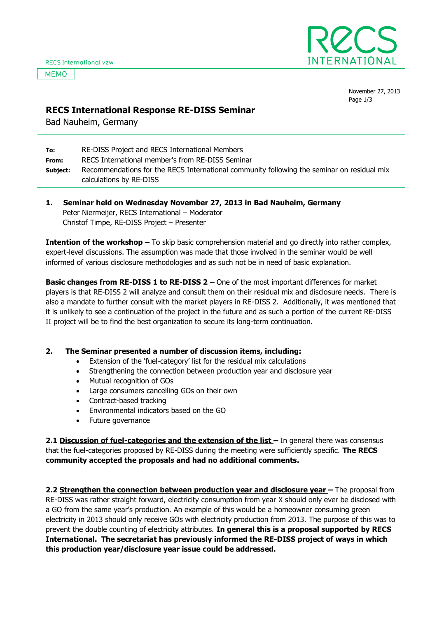**MEMO** 



November 27, 2013 Page 1/3

## **RECS International Response RE-DISS Seminar**

Bad Nauheim, Germany

| To:      | RE-DISS Project and RECS International Members                                             |
|----------|--------------------------------------------------------------------------------------------|
| From:    | RECS International member's from RE-DISS Seminar                                           |
| Subject: | Recommendations for the RECS International community following the seminar on residual mix |
|          | calculations by RE-DISS                                                                    |

**1. Seminar held on Wednesday November 27, 2013 in Bad Nauheim, Germany** Peter Niermeijer, RECS International – Moderator Christof Timpe, RE-DISS Project – Presenter

**Intention of the workshop –** To skip basic comprehension material and go directly into rather complex, expert-level discussions. The assumption was made that those involved in the seminar would be well informed of various disclosure methodologies and as such not be in need of basic explanation.

**Basic changes from RE-DISS 1 to RE-DISS 2 – One of the most important differences for market** players is that RE-DISS 2 will analyze and consult them on their residual mix and disclosure needs. There is also a mandate to further consult with the market players in RE-DISS 2. Additionally, it was mentioned that it is unlikely to see a continuation of the project in the future and as such a portion of the current RE-DISS II project will be to find the best organization to secure its long-term continuation.

## **2. The Seminar presented a number of discussion items, including:**

- Extension of the 'fuel-category' list for the residual mix calculations
- Strengthening the connection between production year and disclosure year
- Mutual recognition of GOs
- Large consumers cancelling GOs on their own
- Contract-based tracking
- Environmental indicators based on the GO
- Future governance

**2.1 Discussion of fuel-categories and the extension of the list – In general there was consensus** that the fuel-categories proposed by RE-DISS during the meeting were sufficiently specific. **The RECS community accepted the proposals and had no additional comments.**

**2.2 Strengthen the connection between production year and disclosure year –** The proposal from RE-DISS was rather straight forward, electricity consumption from year X should only ever be disclosed with a GO from the same year's production. An example of this would be a homeowner consuming green electricity in 2013 should only receive GOs with electricity production from 2013. The purpose of this was to prevent the double counting of electricity attributes. **In general this is a proposal supported by RECS International. The secretariat has previously informed the RE-DISS project of ways in which this production year/disclosure year issue could be addressed.**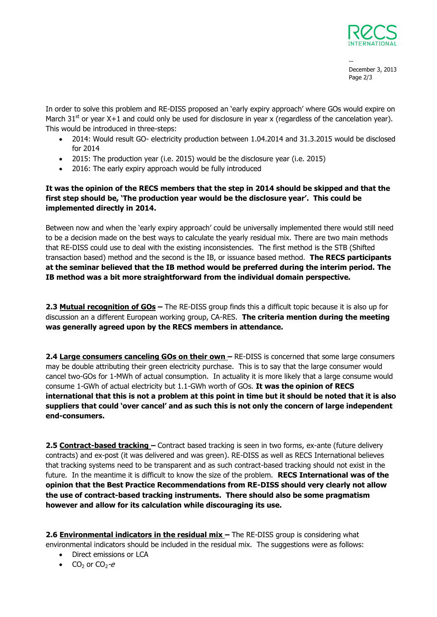

-- December 3, 2013 Page 2/3

In order to solve this problem and RE-DISS proposed an 'early expiry approach' where GOs would expire on March 31<sup>st</sup> or year X+1 and could only be used for disclosure in year x (regardless of the cancelation year). This would be introduced in three-steps:

- 2014: Would result GO- electricity production between 1.04.2014 and 31.3.2015 would be disclosed for 2014
- 2015: The production year (i.e. 2015) would be the disclosure year (i.e. 2015)
- 2016: The early expiry approach would be fully introduced

## **It was the opinion of the RECS members that the step in 2014 should be skipped and that the first step should be, 'The production year would be the disclosure year'. This could be implemented directly in 2014.**

Between now and when the 'early expiry approach' could be universally implemented there would still need to be a decision made on the best ways to calculate the yearly residual mix. There are two main methods that RE-DISS could use to deal with the existing inconsistencies. The first method is the STB (Shifted transaction based) method and the second is the IB, or issuance based method. **The RECS participants at the seminar believed that the IB method would be preferred during the interim period. The IB method was a bit more straightforward from the individual domain perspective.**

**2.3 Mutual recognition of GOs –** The RE-DISS group finds this a difficult topic because it is also up for discussion an a different European working group, CA-RES. **The criteria mention during the meeting was generally agreed upon by the RECS members in attendance.**

2.4 **Large consumers canceling GOs on their own –** RE-DISS is concerned that some large consumers may be double attributing their green electricity purchase. This is to say that the large consumer would cancel two-GOs for 1-MWh of actual consumption. In actuality it is more likely that a large consume would consume 1-GWh of actual electricity but 1.1-GWh worth of GOs. **It was the opinion of RECS international that this is not a problem at this point in time but it should be noted that it is also suppliers that could 'over cancel' and as such this is not only the concern of large independent end-consumers.** 

**2.5 Contract-based tracking –** Contract based tracking is seen in two forms, ex-ante (future delivery contracts) and ex-post (it was delivered and was green). RE-DISS as well as RECS International believes that tracking systems need to be transparent and as such contract-based tracking should not exist in the future. In the meantime it is difficult to know the size of the problem. **RECS International was of the opinion that the Best Practice Recommendations from RE-DISS should very clearly not allow the use of contract-based tracking instruments. There should also be some pragmatism however and allow for its calculation while discouraging its use.** 

2.6 **Environmental indicators in the residual mix** - The RE-DISS group is considering what environmental indicators should be included in the residual mix. The suggestions were as follows:

- Direct emissions or LCA
- $CO<sub>2</sub>$  or  $CO<sub>2</sub>-e$